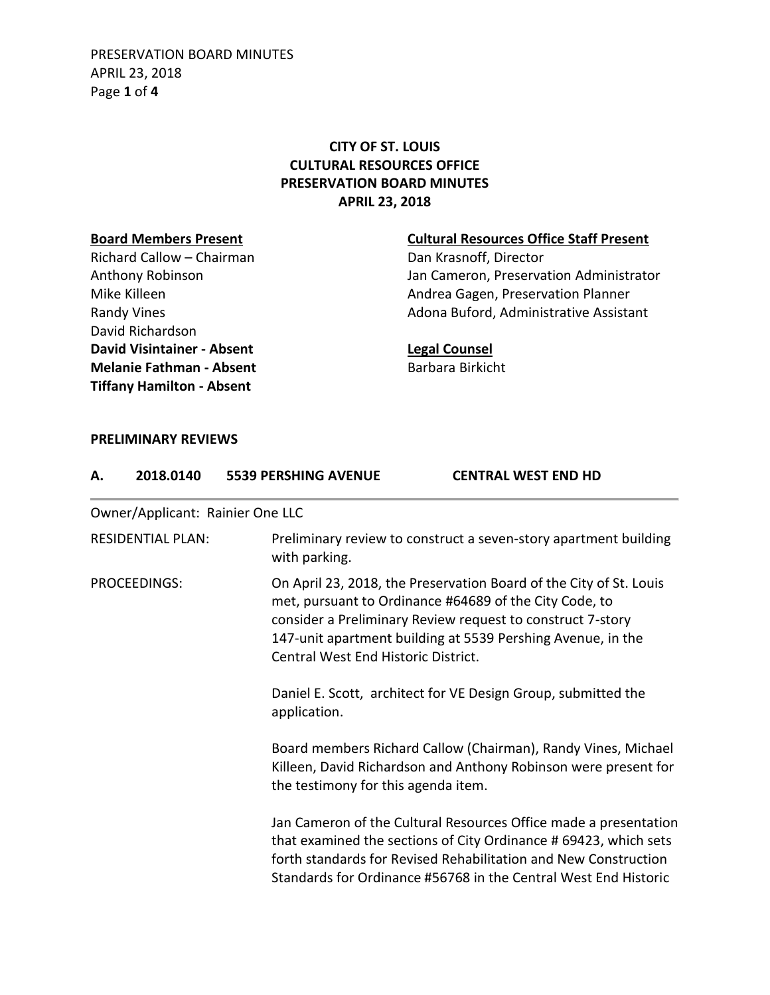PRESERVATION BOARD MINUTES APRIL 23, 2018 Page **1** of **4**

# **CITY OF ST. LOUIS CULTURAL RESOURCES OFFICE PRESERVATION BOARD MINUTES APRIL 23, 2018**

Richard Callow – Chairman Dan Krasnoff, Director David Richardson **David Visintainer - Absent Legal Counsel Melanie Fathman - Absent** Barbara Birkicht **Tiffany Hamilton - Absent**

### **Board Members Present Cultural Resources Office Staff Present**

Anthony Robinson **Anthony Robinson** Jan Cameron, Preservation Administrator Mike Killeen **Andrea Gagen, Preservation Planner** Andrea Gagen, Preservation Planner Randy Vines **Adona Buford, Administrative Assistant** Adona Buford, Administrative Assistant

### **PRELIMINARY REVIEWS**

| А.           | 2018.0140                        | <b>5539 PERSHING AVENUE</b>         | <b>CENTRAL WEST END HD</b>                                                                                                                                                                                                                                                                       |  |
|--------------|----------------------------------|-------------------------------------|--------------------------------------------------------------------------------------------------------------------------------------------------------------------------------------------------------------------------------------------------------------------------------------------------|--|
|              | Owner/Applicant: Rainier One LLC |                                     |                                                                                                                                                                                                                                                                                                  |  |
|              | <b>RESIDENTIAL PLAN:</b>         | with parking.                       | Preliminary review to construct a seven-story apartment building                                                                                                                                                                                                                                 |  |
| PROCEEDINGS: |                                  |                                     | On April 23, 2018, the Preservation Board of the City of St. Louis<br>met, pursuant to Ordinance #64689 of the City Code, to<br>consider a Preliminary Review request to construct 7-story<br>147-unit apartment building at 5539 Pershing Avenue, in the<br>Central West End Historic District. |  |
|              |                                  | application.                        | Daniel E. Scott, architect for VE Design Group, submitted the                                                                                                                                                                                                                                    |  |
|              |                                  | the testimony for this agenda item. | Board members Richard Callow (Chairman), Randy Vines, Michael<br>Killeen, David Richardson and Anthony Robinson were present for                                                                                                                                                                 |  |
|              |                                  |                                     | Jan Cameron of the Cultural Resources Office made a presentation<br>that examined the sections of City Ordinance #69423, which sets<br>forth standards for Revised Rehabilitation and New Construction<br>Standards for Ordinance #56768 in the Central West End Historic                        |  |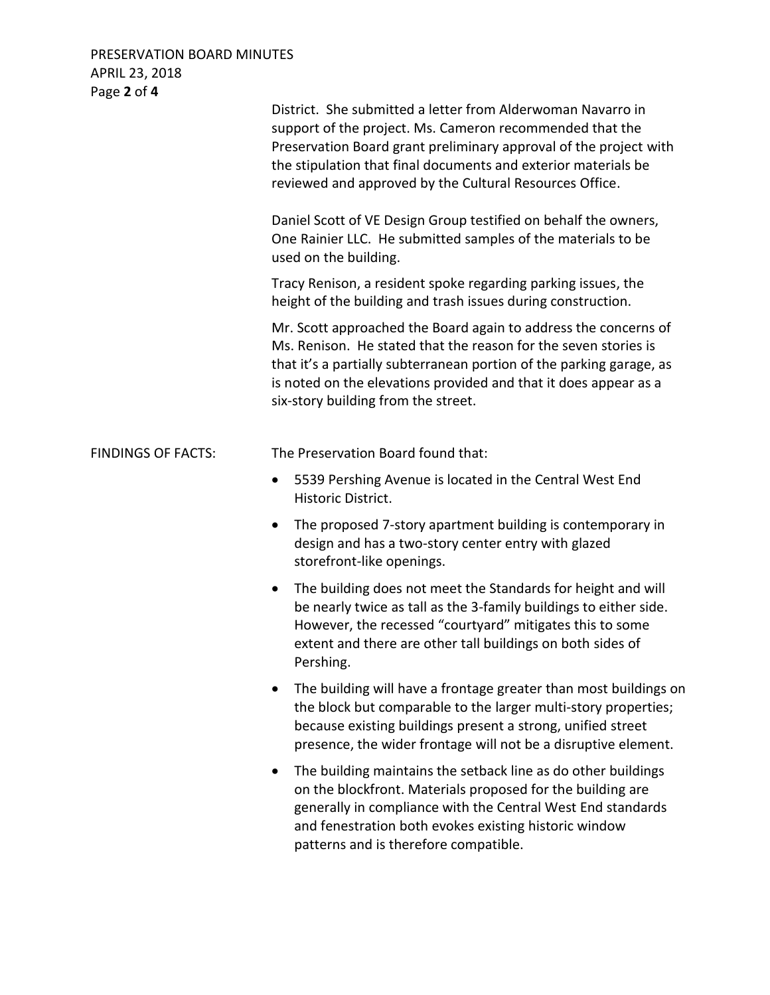## PRESERVATION BOARD MINUTES APRIL 23, 2018 Page **2** of **4**

|                           | District. She submitted a letter from Alderwoman Navarro in<br>support of the project. Ms. Cameron recommended that the<br>Preservation Board grant preliminary approval of the project with<br>the stipulation that final documents and exterior materials be<br>reviewed and approved by the Cultural Resources Office.<br>Daniel Scott of VE Design Group testified on behalf the owners,<br>One Rainier LLC. He submitted samples of the materials to be |  |
|---------------------------|--------------------------------------------------------------------------------------------------------------------------------------------------------------------------------------------------------------------------------------------------------------------------------------------------------------------------------------------------------------------------------------------------------------------------------------------------------------|--|
|                           | used on the building.<br>Tracy Renison, a resident spoke regarding parking issues, the<br>height of the building and trash issues during construction.                                                                                                                                                                                                                                                                                                       |  |
|                           | Mr. Scott approached the Board again to address the concerns of<br>Ms. Renison. He stated that the reason for the seven stories is<br>that it's a partially subterranean portion of the parking garage, as<br>is noted on the elevations provided and that it does appear as a<br>six-story building from the street.                                                                                                                                        |  |
| <b>FINDINGS OF FACTS:</b> | The Preservation Board found that:                                                                                                                                                                                                                                                                                                                                                                                                                           |  |
|                           | 5539 Pershing Avenue is located in the Central West End<br>$\bullet$<br>Historic District.                                                                                                                                                                                                                                                                                                                                                                   |  |
|                           | The proposed 7-story apartment building is contemporary in<br>$\bullet$<br>design and has a two-story center entry with glazed<br>storefront-like openings.                                                                                                                                                                                                                                                                                                  |  |
|                           | The building does not meet the Standards for height and will<br>$\bullet$<br>be nearly twice as tall as the 3-family buildings to either side.<br>However, the recessed "courtyard" mitigates this to some<br>extent and there are other tall buildings on both sides of<br>Pershing.                                                                                                                                                                        |  |
|                           | The building will have a frontage greater than most buildings on<br>the block but comparable to the larger multi-story properties;<br>because existing buildings present a strong, unified street<br>presence, the wider frontage will not be a disruptive element.                                                                                                                                                                                          |  |
|                           | The building maintains the setback line as do other buildings<br>on the blockfront. Materials proposed for the building are<br>generally in compliance with the Central West End standards<br>and fenestration both evokes existing historic window<br>patterns and is therefore compatible.                                                                                                                                                                 |  |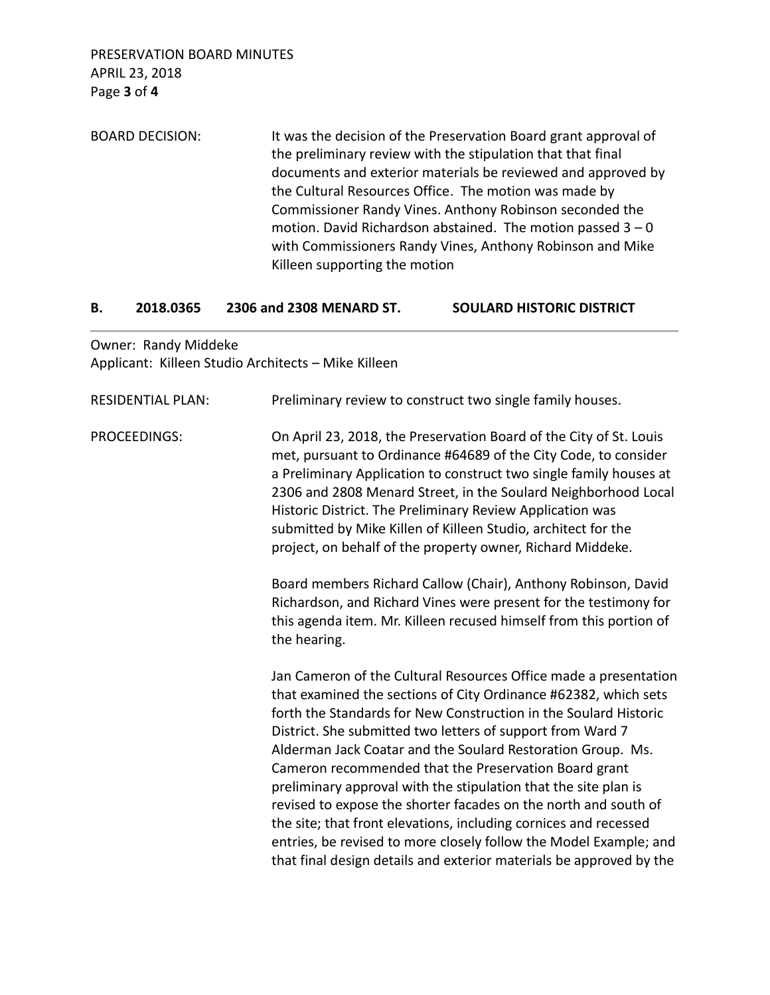PRESERVATION BOARD MINUTES APRIL 23, 2018 Page **3** of **4**

BOARD DECISION: It was the decision of the Preservation Board grant approval of the preliminary review with the stipulation that that final documents and exterior materials be reviewed and approved by the Cultural Resources Office. The motion was made by Commissioner Randy Vines. Anthony Robinson seconded the motion. David Richardson abstained. The motion passed  $3 - 0$ with Commissioners Randy Vines, Anthony Robinson and Mike Killeen supporting the motion

**B. 2018.0365 2306 and 2308 MENARD ST. SOULARD HISTORIC DISTRICT**

Owner: Randy Middeke Applicant: Killeen Studio Architects – Mike Killeen

| <b>RESIDENTIAL PLAN:</b> | Preliminary review to construct two single family houses.                                                                                                                                                                                                                                                                                                                                                                                                                                                                                                                                                                                                                                                                                           |
|--------------------------|-----------------------------------------------------------------------------------------------------------------------------------------------------------------------------------------------------------------------------------------------------------------------------------------------------------------------------------------------------------------------------------------------------------------------------------------------------------------------------------------------------------------------------------------------------------------------------------------------------------------------------------------------------------------------------------------------------------------------------------------------------|
| PROCEEDINGS:             | On April 23, 2018, the Preservation Board of the City of St. Louis<br>met, pursuant to Ordinance #64689 of the City Code, to consider<br>a Preliminary Application to construct two single family houses at<br>2306 and 2808 Menard Street, in the Soulard Neighborhood Local<br>Historic District. The Preliminary Review Application was<br>submitted by Mike Killen of Killeen Studio, architect for the<br>project, on behalf of the property owner, Richard Middeke.                                                                                                                                                                                                                                                                           |
|                          | Board members Richard Callow (Chair), Anthony Robinson, David<br>Richardson, and Richard Vines were present for the testimony for<br>this agenda item. Mr. Killeen recused himself from this portion of<br>the hearing.                                                                                                                                                                                                                                                                                                                                                                                                                                                                                                                             |
|                          | Jan Cameron of the Cultural Resources Office made a presentation<br>that examined the sections of City Ordinance #62382, which sets<br>forth the Standards for New Construction in the Soulard Historic<br>District. She submitted two letters of support from Ward 7<br>Alderman Jack Coatar and the Soulard Restoration Group. Ms.<br>Cameron recommended that the Preservation Board grant<br>preliminary approval with the stipulation that the site plan is<br>revised to expose the shorter facades on the north and south of<br>the site; that front elevations, including cornices and recessed<br>entries, be revised to more closely follow the Model Example; and<br>that final design details and exterior materials be approved by the |